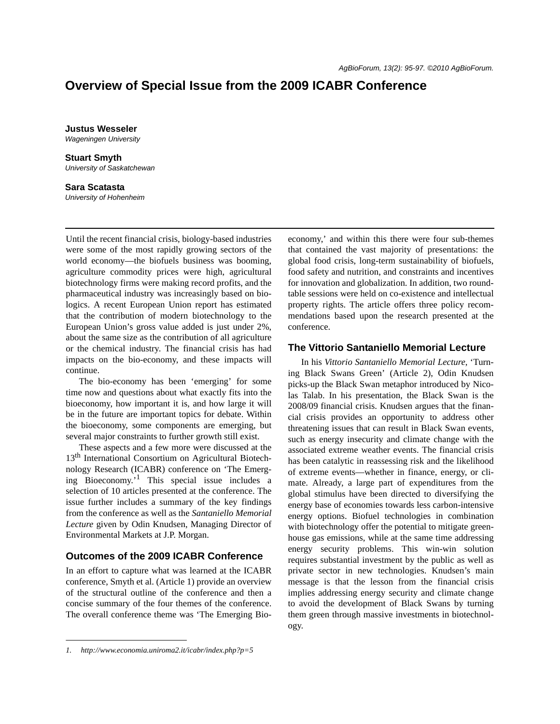# **Overview of Special Issue from the 2009 ICABR Conference**

**Justus Wesseler** *Wageningen University*

**Stuart Smyth** *University of Saskatchewan*

**Sara Scatasta** *University of Hohenheim*

Until the recent financial crisis, biology-based industries were some of the most rapidly growing sectors of the world economy—the biofuels business was booming, agriculture commodity prices were high, agricultural biotechnology firms were making record profits, and the pharmaceutical industry was increasingly based on biologics. A recent European Union report has estimated that the contribution of modern biotechnology to the European Union's gross value added is just under 2%, about the same size as the contribution of all agriculture or the chemical industry. The financial crisis has had impacts on the bio-economy, and these impacts will continue.

The bio-economy has been 'emerging' for some time now and questions about what exactly fits into the bioeconomy, how important it is, and how large it will be in the future are important topics for debate. Within the bioeconomy, some components are emerging, but several major constraints to further growth still exist.

These aspects and a few more were discussed at the 13<sup>th</sup> International Consortium on Agricultural Biotechnology Research (ICABR) conference on 'The Emerging Bioeconomy.'1 This special issue includes a selection of 10 articles presented at the conference. The issue further includes a summary of the key findings from the conference as well as the *Santaniello Memorial Lecture* given by Odin Knudsen, Managing Director of Environmental Markets at J.P. Morgan.

### **Outcomes of the 2009 ICABR Conference**

In an effort to capture what was learned at the ICABR conference, Smyth et al. (Article 1) provide an overview of the structural outline of the conference and then a concise summary of the four themes of the conference. The overall conference theme was 'The Emerging Bioeconomy,' and within this there were four sub-themes that contained the vast majority of presentations: the global food crisis, long-term sustainability of biofuels, food safety and nutrition, and constraints and incentives for innovation and globalization. In addition, two roundtable sessions were held on co-existence and intellectual property rights. The article offers three policy recommendations based upon the research presented at the conference.

#### **The Vittorio Santaniello Memorial Lecture**

In his *Vittorio Santaniello Memorial Lecture*, 'Turning Black Swans Green' (Article 2), Odin Knudsen picks-up the Black Swan metaphor introduced by Nicolas Talab. In his presentation, the Black Swan is the 2008/09 financial crisis. Knudsen argues that the financial crisis provides an opportunity to address other threatening issues that can result in Black Swan events, such as energy insecurity and climate change with the associated extreme weather events. The financial crisis has been catalytic in reassessing risk and the likelihood of extreme events—whether in finance, energy, or climate. Already, a large part of expenditures from the global stimulus have been directed to diversifying the energy base of economies towards less carbon-intensive energy options. Biofuel technologies in combination with biotechnology offer the potential to mitigate greenhouse gas emissions, while at the same time addressing energy security problems. This win-win solution requires substantial investment by the public as well as private sector in new technologies. Knudsen's main message is that the lesson from the financial crisis implies addressing energy security and climate change to avoid the development of Black Swans by turning them green through massive investments in biotechnology.

*<sup>1.</sup> http://www.economia.uniroma2.it/icabr/index.php?p=5*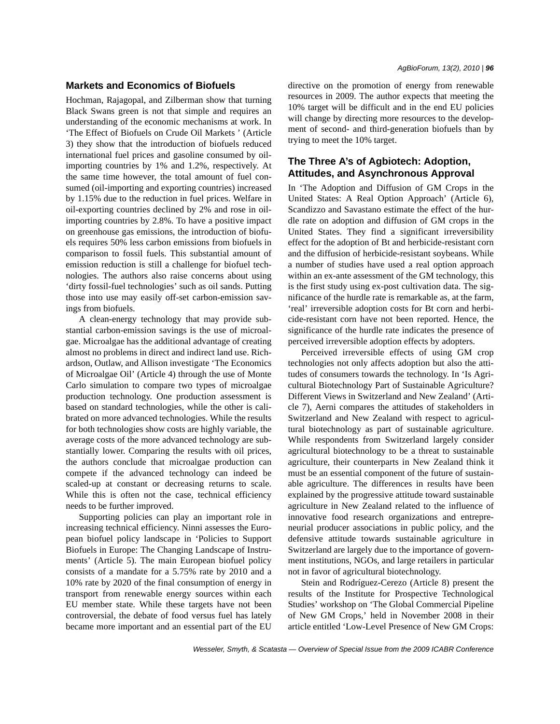### **Markets and Economics of Biofuels**

Hochman, Rajagopal, and Zilberman show that turning Black Swans green is not that simple and requires an understanding of the economic mechanisms at work. In 'The Effect of Biofuels on Crude Oil Markets ' (Article 3) they show that the introduction of biofuels reduced international fuel prices and gasoline consumed by oilimporting countries by 1% and 1.2%, respectively. At the same time however, the total amount of fuel consumed (oil-importing and exporting countries) increased by 1.15% due to the reduction in fuel prices. Welfare in oil-exporting countries declined by 2% and rose in oilimporting countries by 2.8%. To have a positive impact on greenhouse gas emissions, the introduction of biofuels requires 50% less carbon emissions from biofuels in comparison to fossil fuels. This substantial amount of emission reduction is still a challenge for biofuel technologies. The authors also raise concerns about using 'dirty fossil-fuel technologies' such as oil sands. Putting those into use may easily off-set carbon-emission savings from biofuels.

A clean-energy technology that may provide substantial carbon-emission savings is the use of microalgae. Microalgae has the additional advantage of creating almost no problems in direct and indirect land use. Richardson, Outlaw, and Allison investigate 'The Economics of Microalgae Oil' (Article 4) through the use of Monte Carlo simulation to compare two types of microalgae production technology. One production assessment is based on standard technologies, while the other is calibrated on more advanced technologies. While the results for both technologies show costs are highly variable, the average costs of the more advanced technology are substantially lower. Comparing the results with oil prices, the authors conclude that microalgae production can compete if the advanced technology can indeed be scaled-up at constant or decreasing returns to scale. While this is often not the case, technical efficiency needs to be further improved.

Supporting policies can play an important role in increasing technical efficiency. Ninni assesses the European biofuel policy landscape in 'Policies to Support Biofuels in Europe: The Changing Landscape of Instruments' (Article 5). The main European biofuel policy consists of a mandate for a 5.75% rate by 2010 and a 10% rate by 2020 of the final consumption of energy in transport from renewable energy sources within each EU member state. While these targets have not been controversial, the debate of food versus fuel has lately became more important and an essential part of the EU directive on the promotion of energy from renewable resources in 2009. The author expects that meeting the 10% target will be difficult and in the end EU policies will change by directing more resources to the development of second- and third-generation biofuels than by trying to meet the 10% target.

## **The Three A's of Agbiotech: Adoption, Attitudes, and Asynchronous Approval**

In 'The Adoption and Diffusion of GM Crops in the United States: A Real Option Approach' (Article 6), Scandizzo and Savastano estimate the effect of the hurdle rate on adoption and diffusion of GM crops in the United States. They find a significant irreversibility effect for the adoption of Bt and herbicide-resistant corn and the diffusion of herbicide-resistant soybeans. While a number of studies have used a real option approach within an ex-ante assessment of the GM technology, this is the first study using ex-post cultivation data. The significance of the hurdle rate is remarkable as, at the farm, 'real' irreversible adoption costs for Bt corn and herbicide-resistant corn have not been reported. Hence, the significance of the hurdle rate indicates the presence of perceived irreversible adoption effects by adopters.

Perceived irreversible effects of using GM crop technologies not only affects adoption but also the attitudes of consumers towards the technology. In 'Is Agricultural Biotechnology Part of Sustainable Agriculture? Different Views in Switzerland and New Zealand' (Article 7), Aerni compares the attitudes of stakeholders in Switzerland and New Zealand with respect to agricultural biotechnology as part of sustainable agriculture. While respondents from Switzerland largely consider agricultural biotechnology to be a threat to sustainable agriculture, their counterparts in New Zealand think it must be an essential component of the future of sustainable agriculture. The differences in results have been explained by the progressive attitude toward sustainable agriculture in New Zealand related to the influence of innovative food research organizations and entrepreneurial producer associations in public policy, and the defensive attitude towards sustainable agriculture in Switzerland are largely due to the importance of government institutions, NGOs, and large retailers in particular not in favor of agricultural biotechnology.

Stein and Rodríguez-Cerezo (Article 8) present the results of the Institute for Prospective Technological Studies' workshop on 'The Global Commercial Pipeline of New GM Crops,' held in November 2008 in their article entitled 'Low-Level Presence of New GM Crops: